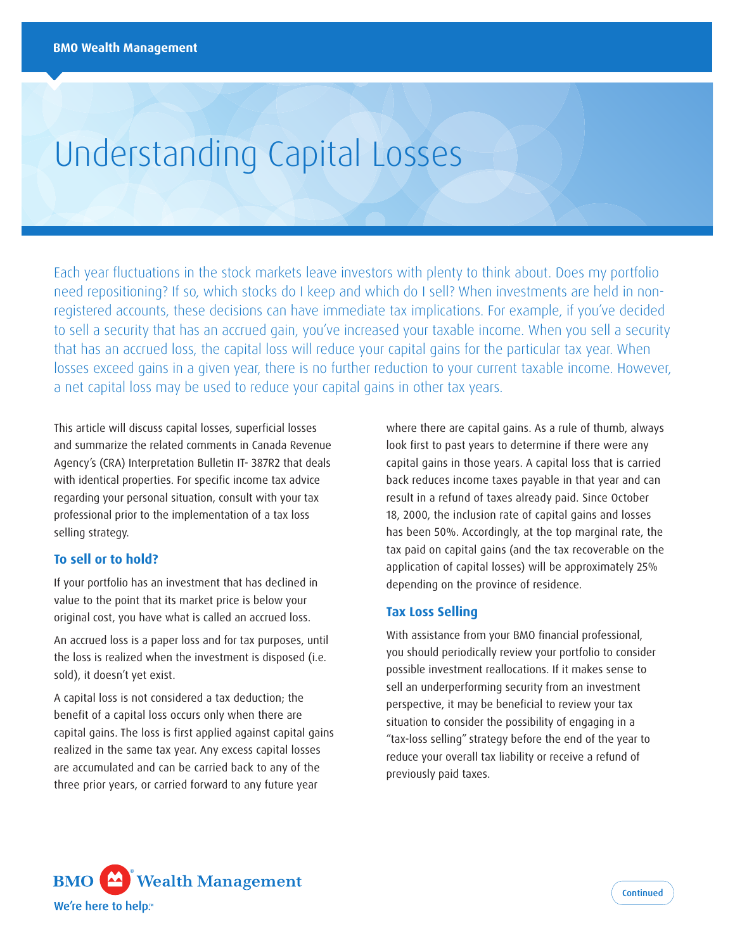# Understanding Capital Losses

Each year fluctuations in the stock markets leave investors with plenty to think about. Does my portfolio need repositioning? If so, which stocks do I keep and which do I sell? When investments are held in nonregistered accounts, these decisions can have immediate tax implications. For example, if you've decided to sell a security that has an accrued gain, you've increased your taxable income. When you sell a security that has an accrued loss, the capital loss will reduce your capital gains for the particular tax year. When losses exceed gains in a given year, there is no further reduction to your current taxable income. However, a net capital loss may be used to reduce your capital gains in other tax years.

This article will discuss capital losses, superficial losses and summarize the related comments in Canada Revenue Agency's (CRA) Interpretation Bulletin IT- 387R2 that deals with identical properties. For specific income tax advice regarding your personal situation, consult with your tax professional prior to the implementation of a tax loss selling strategy.

# **To sell or to hold?**

If your portfolio has an investment that has declined in value to the point that its market price is below your original cost, you have what is called an accrued loss.

An accrued loss is a paper loss and for tax purposes, until the loss is realized when the investment is disposed (i.e. sold), it doesn't yet exist.

A capital loss is not considered a tax deduction; the benefit of a capital loss occurs only when there are capital gains. The loss is first applied against capital gains realized in the same tax year. Any excess capital losses are accumulated and can be carried back to any of the three prior years, or carried forward to any future year

where there are capital gains. As a rule of thumb, always look first to past years to determine if there were any capital gains in those years. A capital loss that is carried back reduces income taxes payable in that year and can result in a refund of taxes already paid. Since October 18, 2000, the inclusion rate of capital gains and losses has been 50%. Accordingly, at the top marginal rate, the tax paid on capital gains (and the tax recoverable on the application of capital losses) will be approximately 25% depending on the province of residence.

#### **Tax Loss Selling**

With assistance from your BMO financial professional, you should periodically review your portfolio to consider possible investment reallocations. If it makes sense to sell an underperforming security from an investment perspective, it may be beneficial to review your tax situation to consider the possibility of engaging in a "tax-loss selling" strategy before the end of the year to reduce your overall tax liability or receive a refund of previously paid taxes.

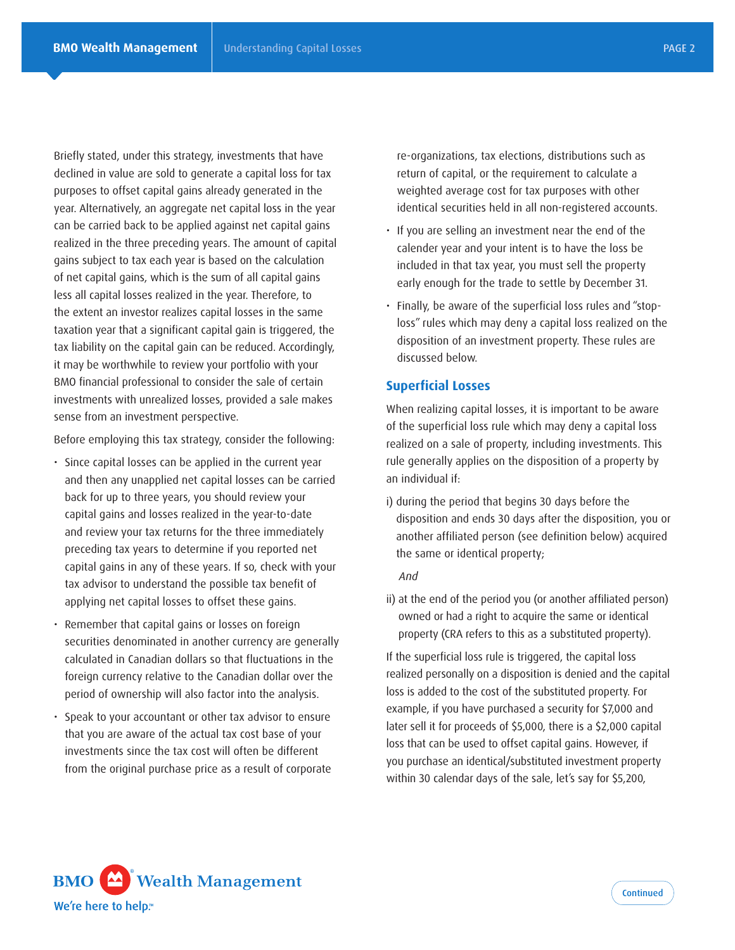Briefly stated, under this strategy, investments that have declined in value are sold to generate a capital loss for tax purposes to offset capital gains already generated in the year. Alternatively, an aggregate net capital loss in the year can be carried back to be applied against net capital gains realized in the three preceding years. The amount of capital gains subject to tax each year is based on the calculation of net capital gains, which is the sum of all capital gains less all capital losses realized in the year. Therefore, to the extent an investor realizes capital losses in the same taxation year that a significant capital gain is triggered, the tax liability on the capital gain can be reduced. Accordingly, it may be worthwhile to review your portfolio with your BMO financial professional to consider the sale of certain investments with unrealized losses, provided a sale makes sense from an investment perspective.

Before employing this tax strategy, consider the following:

- Since capital losses can be applied in the current year and then any unapplied net capital losses can be carried back for up to three years, you should review your capital gains and losses realized in the year-to-date and review your tax returns for the three immediately preceding tax years to determine if you reported net capital gains in any of these years. If so, check with your tax advisor to understand the possible tax benefit of applying net capital losses to offset these gains.
- Remember that capital gains or losses on foreign securities denominated in another currency are generally calculated in Canadian dollars so that fluctuations in the foreign currency relative to the Canadian dollar over the period of ownership will also factor into the analysis.
- Speak to your accountant or other tax advisor to ensure that you are aware of the actual tax cost base of your investments since the tax cost will often be different from the original purchase price as a result of corporate

re-organizations, tax elections, distributions such as return of capital, or the requirement to calculate a weighted average cost for tax purposes with other identical securities held in all non-registered accounts.

- If you are selling an investment near the end of the calender year and your intent is to have the loss be included in that tax year, you must sell the property early enough for the trade to settle by December 31.
- Finally, be aware of the superficial loss rules and "stoploss" rules which may deny a capital loss realized on the disposition of an investment property. These rules are discussed below.

#### **Superficial Losses**

When realizing capital losses, it is important to be aware of the superficial loss rule which may deny a capital loss realized on a sale of property, including investments. This rule generally applies on the disposition of a property by an individual if:

i) during the period that begins 30 days before the disposition and ends 30 days after the disposition, you or another affiliated person (see definition below) acquired the same or identical property;

#### *And*

ii) at the end of the period you (or another affiliated person) owned or had a right to acquire the same or identical property (CRA refers to this as a substituted property).

If the superficial loss rule is triggered, the capital loss realized personally on a disposition is denied and the capital loss is added to the cost of the substituted property. For example, if you have purchased a security for \$7,000 and later sell it for proceeds of \$5,000, there is a \$2,000 capital loss that can be used to offset capital gains. However, if you purchase an identical/substituted investment property within 30 calendar days of the sale, let's say for \$5,200,

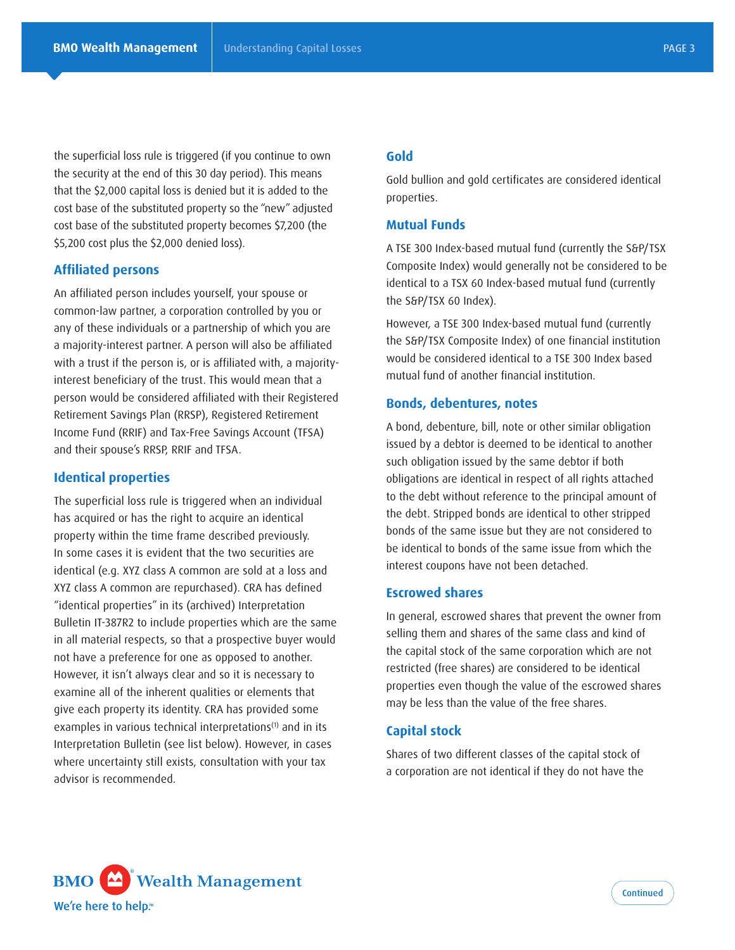the superficial loss rule is triggered (if you continue to own the security at the end of this 30 day period). This means that the \$2,000 capital loss is denied but it is added to the cost base of the substituted property so the "new" adjusted cost base of the substituted property becomes \$7,200 (the \$5,200 cost plus the \$2,000 denied loss).

# **Affiliated persons**

An affiliated person includes yourself, your spouse or common-law partner, a corporation controlled by you or any of these individuals or a partnership of which you are a majority-interest partner. A person will also be affiliated with a trust if the person is, or is affiliated with, a majorityinterest beneficiary of the trust. This would mean that a person would be considered affiliated with their Registered Retirement Savings Plan (RRSP), Registered Retirement Income Fund (RRIF) and Tax-Free Savings Account (TFSA) and their spouse's RRSP, RRIF and TFSA.

### **Identical properties**

The superficial loss rule is triggered when an individual has acquired or has the right to acquire an identical property within the time frame described previously. In some cases it is evident that the two securities are identical (e.g. XYZ class A common are sold at a loss and XYZ class A common are repurchased). CRA has defined "identical properties" in its (archived) Interpretation Bulletin IT-387R2 to include properties which are the same in all material respects, so that a prospective buyer would not have a preference for one as opposed to another. However, it isn't always clear and so it is necessary to examine all of the inherent qualities or elements that give each property its identity. CRA has provided some examples in various technical interpretations<sup>(1)</sup> and in its Interpretation Bulletin (see list below). However, in cases where uncertainty still exists, consultation with your tax advisor is recommended.

# **Gold**

Gold bullion and gold certificates are considered identical properties.

## **Mutual Funds**

A TSE 300 Index-based mutual fund (currently the S&P/TSX Composite Index) would generally not be considered to be identical to a TSX 60 Index-based mutual fund (currently the S&P/TSX 60 Index).

However, a TSE 300 Index-based mutual fund (currently the S&P/TSX Composite Index) of one financial institution would be considered identical to a TSE 300 Index based mutual fund of another financial institution.

#### **Bonds, debentures, notes**

A bond, debenture, bill, note or other similar obligation issued by a debtor is deemed to be identical to another such obligation issued by the same debtor if both obligations are identical in respect of all rights attached to the debt without reference to the principal amount of the debt. Stripped bonds are identical to other stripped bonds of the same issue but they are not considered to be identical to bonds of the same issue from which the interest coupons have not been detached.

# **Escrowed shares**

In general, escrowed shares that prevent the owner from selling them and shares of the same class and kind of the capital stock of the same corporation which are not restricted (free shares) are considered to be identical properties even though the value of the escrowed shares may be less than the value of the free shares.

## **Capital stock**

Shares of two different classes of the capital stock of a corporation are not identical if they do not have the

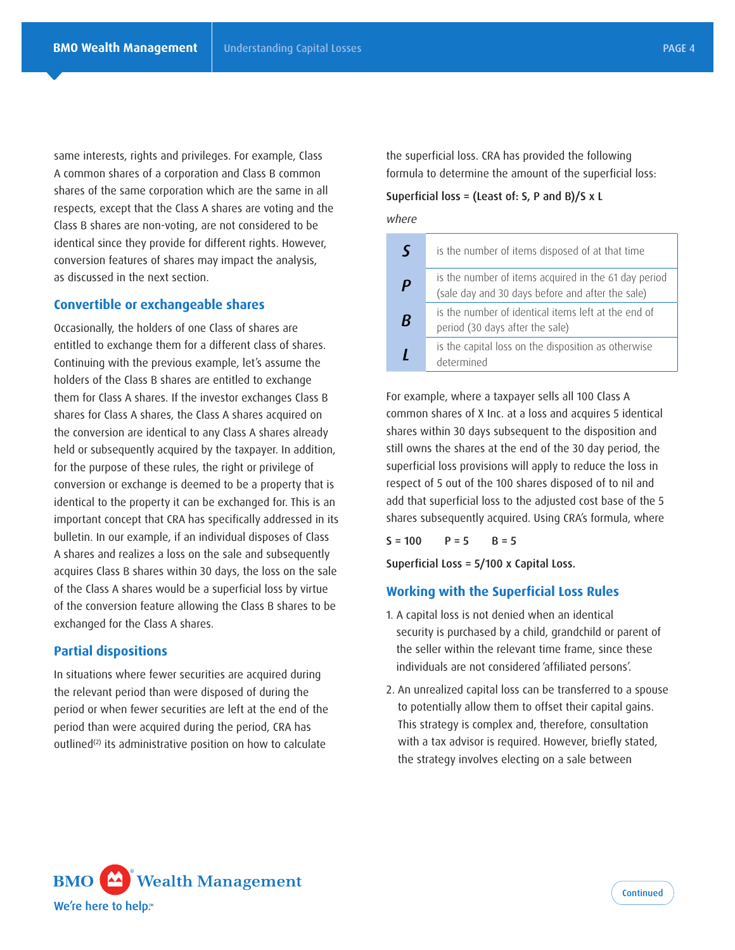same interests, rights and privileges. For example, Class A common shares of a corporation and Class B common shares of the same corporation which are the same in all respects, except that the Class A shares are voting and the Class B shares are non-voting, are not considered to be identical since they provide for different rights. However, conversion features of shares may impact the analysis, as discussed in the next section.

## **Convertible or exchangeable shares**

Occasionally, the holders of one Class of shares are entitled to exchange them for a different class of shares. Continuing with the previous example, let's assume the holders of the Class B shares are entitled to exchange them for Class A shares. If the investor exchanges Class B shares for Class A shares, the Class A shares acquired on the conversion are identical to any Class A shares already held or subsequently acquired by the taxpayer. In addition, for the purpose of these rules, the right or privilege of conversion or exchange is deemed to be a property that is identical to the property it can be exchanged for. This is an important concept that CRA has specifically addressed in its bulletin. In our example, if an individual disposes of Class A shares and realizes a loss on the sale and subsequently acquires Class B shares within 30 days, the loss on the sale of the Class A shares would be a superficial loss by virtue of the conversion feature allowing the Class B shares to be exchanged for the Class A shares.

#### **Partial dispositions**

In situations where fewer securities are acquired during the relevant period than were disposed of during the period or when fewer securities are left at the end of the period than were acquired during the period, CRA has outlined $(2)$  its administrative position on how to calculate

the superficial loss. CRA has provided the following formula to determine the amount of the superficial loss:

#### Superficial loss = (Least of: S, P and B)/S x L

*where*

| $\varsigma$      | is the number of items disposed of at that time                                                          |
|------------------|----------------------------------------------------------------------------------------------------------|
| $\boldsymbol{P}$ | is the number of items acquired in the 61 day period<br>(sale day and 30 days before and after the sale) |
| B                | is the number of identical items left at the end of<br>period (30 days after the sale)                   |
|                  | is the capital loss on the disposition as otherwise<br>determined                                        |

For example, where a taxpayer sells all 100 Class A common shares of X Inc. at a loss and acquires 5 identical shares within 30 days subsequent to the disposition and still owns the shares at the end of the 30 day period, the superficial loss provisions will apply to reduce the loss in respect of 5 out of the 100 shares disposed of to nil and add that superficial loss to the adjusted cost base of the 5 shares subsequently acquired. Using CRA's formula, where

 $S = 100$   $P = 5$   $B = 5$ 

Superficial Loss = 5/100 x Capital Loss.

# **Working with the Superficial Loss Rules**

- 1. A capital loss is not denied when an identical security is purchased by a child, grandchild or parent of the seller within the relevant time frame, since these individuals are not considered 'affiliated persons'.
- 2. An unrealized capital loss can be transferred to a spouse to potentially allow them to offset their capital gains. This strategy is complex and, therefore, consultation with a tax advisor is required. However, briefly stated, the strategy involves electing on a sale between

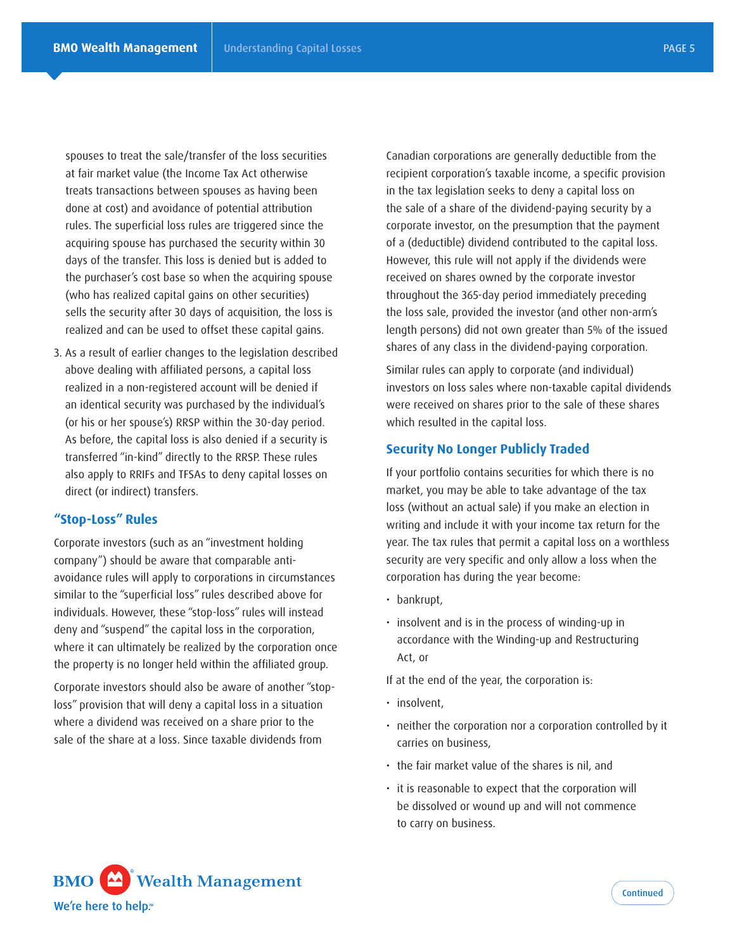spouses to treat the sale/transfer of the loss securities at fair market value (the Income Tax Act otherwise treats transactions between spouses as having been done at cost) and avoidance of potential attribution rules. The superficial loss rules are triggered since the acquiring spouse has purchased the security within 30 days of the transfer. This loss is denied but is added to the purchaser's cost base so when the acquiring spouse (who has realized capital gains on other securities) sells the security after 30 days of acquisition, the loss is realized and can be used to offset these capital gains.

3. As a result of earlier changes to the legislation described above dealing with affiliated persons, a capital loss realized in a non-registered account will be denied if an identical security was purchased by the individual's (or his or her spouse's) RRSP within the 30-day period. As before, the capital loss is also denied if a security is transferred "in-kind" directly to the RRSP. These rules also apply to RRIFs and TFSAs to deny capital losses on direct (or indirect) transfers.

## **"Stop-Loss" Rules**

Corporate investors (such as an "investment holding company") should be aware that comparable antiavoidance rules will apply to corporations in circumstances similar to the "superficial loss" rules described above for individuals. However, these "stop-loss" rules will instead deny and "suspend" the capital loss in the corporation, where it can ultimately be realized by the corporation once the property is no longer held within the affiliated group.

Corporate investors should also be aware of another "stoploss" provision that will deny a capital loss in a situation where a dividend was received on a share prior to the sale of the share at a loss. Since taxable dividends from

Canadian corporations are generally deductible from the recipient corporation's taxable income, a specific provision in the tax legislation seeks to deny a capital loss on the sale of a share of the dividend-paying security by a corporate investor, on the presumption that the payment of a (deductible) dividend contributed to the capital loss. However, this rule will not apply if the dividends were received on shares owned by the corporate investor throughout the 365-day period immediately preceding the loss sale, provided the investor (and other non-arm's length persons) did not own greater than 5% of the issued shares of any class in the dividend-paying corporation.

Similar rules can apply to corporate (and individual) investors on loss sales where non-taxable capital dividends were received on shares prior to the sale of these shares which resulted in the capital loss.

# **Security No Longer Publicly Traded**

If your portfolio contains securities for which there is no market, you may be able to take advantage of the tax loss (without an actual sale) if you make an election in writing and include it with your income tax return for the year. The tax rules that permit a capital loss on a worthless security are very specific and only allow a loss when the corporation has during the year become:

- bankrupt,
- insolvent and is in the process of winding-up in accordance with the Winding-up and Restructuring Act, or

If at the end of the year, the corporation is:

- insolvent,
- neither the corporation nor a corporation controlled by it carries on business,
- the fair market value of the shares is nil, and
- it is reasonable to expect that the corporation will be dissolved or wound up and will not commence to carry on business.